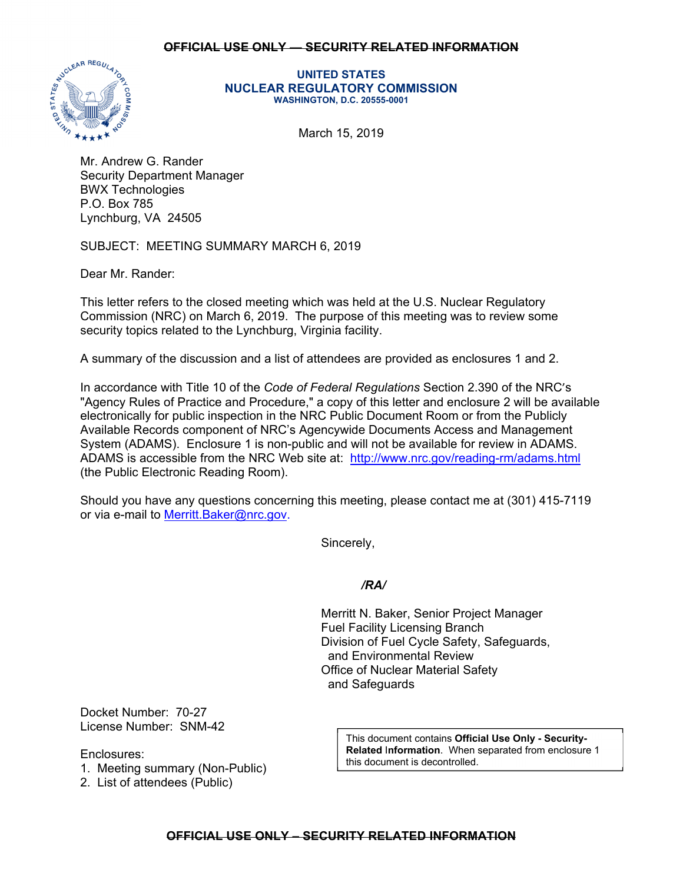## **OFFICIAL USE ONLY — SECURITY RELATED INFORMATION**



## **UNITED STATES NUCLEAR REGULATORY COMMISSION WASHINGTON, D.C. 20555-0001**

March 15, 2019

Mr. Andrew G. Rander Security Department Manager BWX Technologies P.O. Box 785 Lynchburg, VA 24505

SUBJECT: MEETING SUMMARY MARCH 6, 2019

Dear Mr. Rander:

This letter refers to the closed meeting which was held at the U.S. Nuclear Regulatory Commission (NRC) on March 6, 2019. The purpose of this meeting was to review some security topics related to the Lynchburg, Virginia facility.

A summary of the discussion and a list of attendees are provided as enclosures 1 and 2.

In accordance with Title 10 of the *Code of Federal Regulations* Section 2.390 of the NRC's "Agency Rules of Practice and Procedure," a copy of this letter and enclosure 2 will be available electronically for public inspection in the NRC Public Document Room or from the Publicly Available Records component of NRC's Agencywide Documents Access and Management System (ADAMS). Enclosure 1 is non-public and will not be available for review in ADAMS. ADAMS is accessible from the NRC Web site at: http://www.nrc.gov/reading-rm/adams.html (the Public Electronic Reading Room).

Should you have any questions concerning this meeting, please contact me at (301) 415-7119 or via e-mail to Merritt.Baker@nrc.gov.

Sincerely,

## */RA/*

Merritt N. Baker, Senior Project Manager Fuel Facility Licensing Branch Division of Fuel Cycle Safety, Safeguards, and Environmental Review Office of Nuclear Material Safety and Safeguards

Docket Number: 70-27 License Number: SNM-42

Enclosures:

1. Meeting summary (Non-Public)

2. List of attendees (Public)

This document contains **Official Use Only - Security-Related** I**nformation**. When separated from enclosure 1 this document is decontrolled.